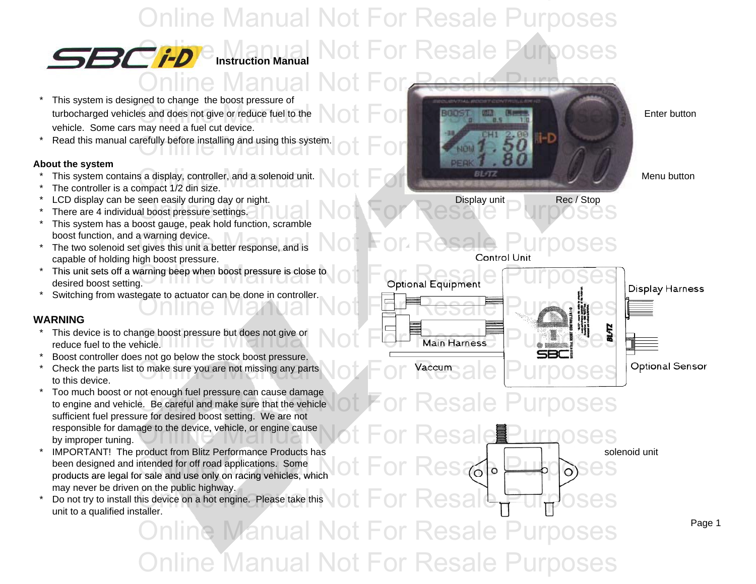## Online Manual Not For Resale Purposes **Resale Pur**

*Instruction Manual* 

- \* This system is designed to change the boost pressure of turbocharged vehicles and does not give or reduce fuel to the Enter Lot For Research Manual Not For Research Inc. vehicle. Some cars may need a fuel cut device.
- \*

#### **About the system**

- \*
- \*The controller is a compact 1/2 din size.
- \*LCD display can be seen easily during day or night. p y y g y g Display unit p y Rec / Stop
- \* There are 4 individual boost pressure settings. Seen easily during day of hight.<br>al boost pressure settings.<br>Not day as heak hold function, scramble
- \* This system has a boost gauge, peak hold function, scramble boost function, and a warning device.
- \*boost function, and a warning device.<br>The two solenoid set gives this unit a better response, and is  $\blacksquare$  On Resale Purposes capable of holding high boost pressure.
- \* $\cdot$  This unit sets off a warning beep when boost pressure is close to **online Manual Accord Concernsives** desired boost setting. desired boost setting.
- \*Switching from wastegate to actuator can be done in controller.

#### **WARNING**

- \*reduce fuel to the vehicle.
- \*Boost controller does not go below the stock boost pressure.
- \*to this device.
- \* Too much boost or not enough fuel pressure can cause damage Too much boost of not enough fuel pressure can cause damage<br>to engine and vehicle. Be careful and make sure that the vehicle  $\text{tot}$  For Resale Purposes sufficient fuel pressure for desired boost setting. We are not responsible for damage to the device, vehicle, or engine cause  $\text{Not For } \text{Resal}$   $\text{ESal}$ by improper tuning.
- \*IMPORTANT! The product from Blitz Performance Products has been designed and intended for off road applications. Some been designed and intended for off road applications. Some<br>products are legal for sale and use only on racing vehicles, which  $\circ$  of  $\circ$  Resale  $\circ$  on  $\circ$  Ses may never be driven on the public highway.
- \* Do not try to install this device on a hot engine. Please take this unit to a qualified installer.  $\frac{1}{\text{O}}$  and the public Highway.<br>This device on a hot engine. Please take this  $\cot$  For Resale  $\sqrt{|\det|}$

Online Manual Not For Resale Purposes **Online Manual Not For Resale Pura** 

Read this manual carefully before installing and using this system.  $\bigcirc \mathsf{t} \ \mathsf{F} \ \mathsf{O} \ \mathsf{r} \ \mathsf{R}$  is a purpose such that the  $\mathsf{p} \ \mathsf{p} \ \mathsf{p} \ \mathsf{p} \ \mathsf{p} \ \mathsf{p} \ \mathsf{p} \ \mathsf{p} \ \mathsf{p} \ \mathsf{p} \ \mathsf{p} \ \mathsf{p} \ \math$ This system contains a display, controller, and a solenoid unit.<br>The controller is a compact 1/2 din size. Online Manual Not For Resale Purposes



solenoid unit

Page 1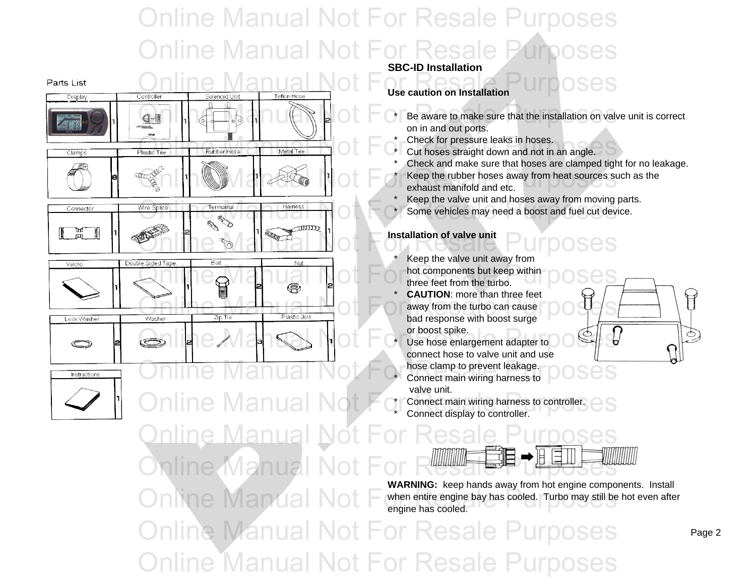## Online Manual Not For Resale Purposes Online Manual Not For Resale Purposes



**Online Manual Not** 

#### **SBC-ID Installation SBC-ID**

**Use caution on Installation**

- \* Be aware to make sure that the installation on valve unit is correct on in and out ports.
- \*Check for pressure leaks in hoses.
- \*
- \* Check and make sure that hoses are clamped tight for no leakage. \*Expediance of the rubber hoses away from heat sources such as the exhaust manifold and etc. exhaust manifold and etc.

\*Keep the valve unit and hoses away from moving parts.

\*Some vehicles may need a boost and fuel cut device.

#### **Installation of valve unit**

- \* Keep the valve unit away from three feet from the turbo.
- \* **CAUTION**: more than three feet bad response with boost surge or boost spike.
- connect hose to valve unit and use hose clamp to prevent leakage. valve unit.

Connect main wiring harness to controller. Connect display to controller.



**WARNING:** keep hands away from hot engine components. Install when entire engine bay has cooled. Turbo may still be hot even after engine has cooled.

Online Manual Not For Resale Purposes Online Manual Not For Resale Purposes

\*

\*

\*

\*

 $\mathbb H$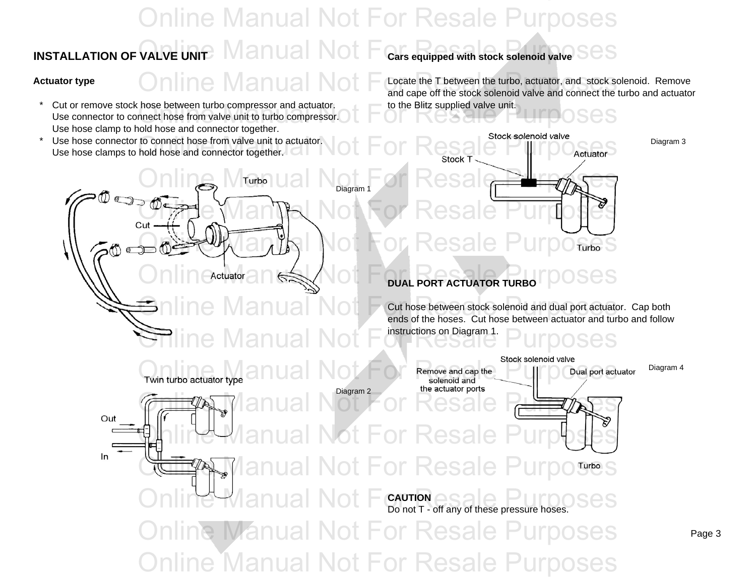### **INSTALLATION OF VALVE UNITAL MANUAL NOTIFICATS equipped with stock solenoid valve**  $\texttt{S}\texttt{es}$  **Cars equipped with stock solenoid valve** Online Manual Not For Resale Purposes Online Manual Not

- \*Cut or remove stock hose between turbo compressor and actuator. **the Blitz supplied valve unit.** Use connector to connect hose from valve unit to turbo compressor.<br>Use connector to connect hose from valve unit to turbo compressor.<br>Use bees clears to held bees and connector together. Use hose clamp to hold hose and connector together.
- \*Use hose clamps to hold hose and connector together.

**Actuator type Locate the T between the turbo, actuator, and stock solenoid. Remove** and cape off the stock solenoid valve and connect the turbo and actuator

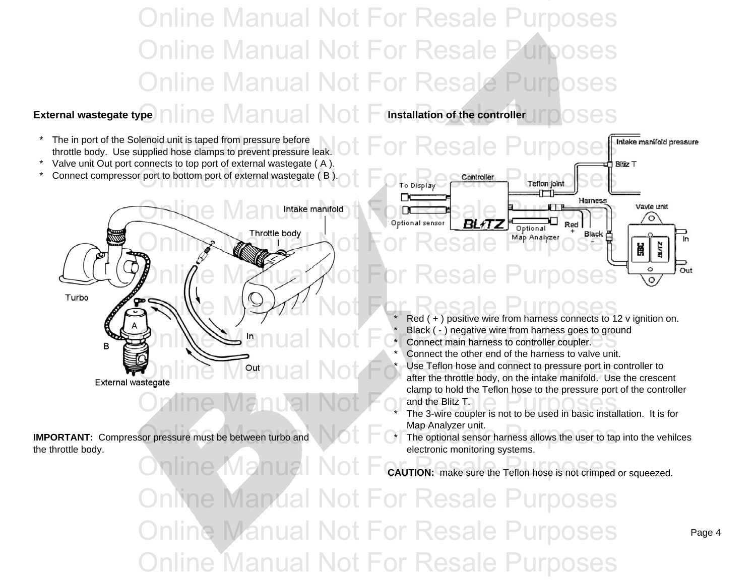Online Manual Not For Resale Purposes Online Manual Not For Resale Purposes Online Manual Not For Resale Purposes

### **External wastegate type Installation of the controller** Online Manual Not For Resale Purposes

- \*The in port of the Solenoid unit is taped from pressure before throttle body. Use supplied hose clamps to prevent pressure leak.
- \*Valve unit Out port connects to top port of external wastegate ( A ).
- \*



Online Manual Not For and the Blitz T.

**IMPORTANT:** Compressor pressure must be between turbo and the throttle body. **Example 20** electronic monitoring systems.



Black ( - ) negative wire from harness goes to ground

- \*
- \*Connect the other end of the harness to valve unit.

 Use Teflon hose and connect to pressure port in controller to **and the streague of the throtte** body, on the intake manifold. Use the crescent<br>
Online Manual Not For Research estert the throttle body, on the intake manifold. Use the crescent clamp to hold the Teflon hose to the pressure port of the controller and the Blitz T.

Map Analyzer unit.

The optional sensor harness allows the user to tap into the vehilces

Online Manual Not For CAUTION: make sure the Teflon hose is not crimped or squeezed.

**Online Manual Not For Resale Purposes** Online Manual Not For Resale Purposes Online Manual Not For Resale Purposes

\*

\*

\*

\*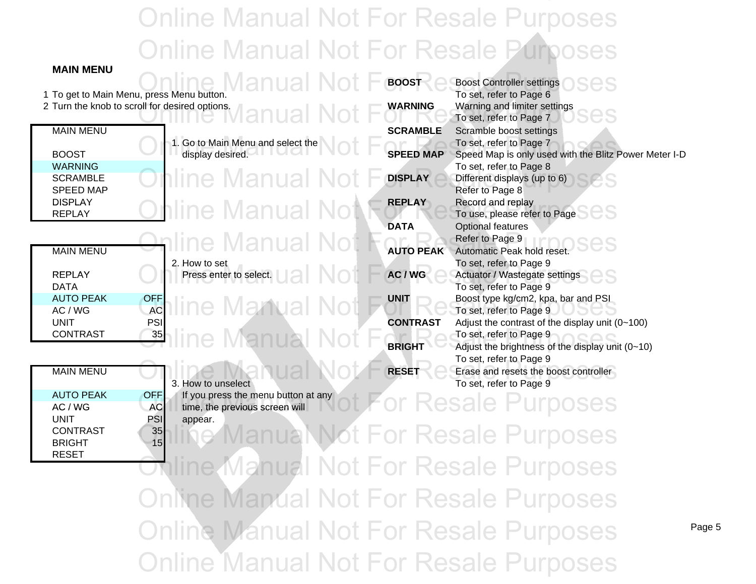## Online Manual Not For Resale Purposes Online Manual Not For Resale Purposes

**MAIN MENU**

|                           |                                                                                                  | <b>BOOST</b>     | <b>Boost Controller settings</b>                        |  |  |
|---------------------------|--------------------------------------------------------------------------------------------------|------------------|---------------------------------------------------------|--|--|
|                           | 1 To get to Main Menu, press Menu button.                                                        |                  | To set, refer to Page 6                                 |  |  |
|                           | 2 Turn the knob to scroll for desired options.<br>anual Not                                      | <b>WARNING</b>   | Warning and limiter settings<br>To set, refer to Page 7 |  |  |
| <b>MAIN MENU</b>          |                                                                                                  | <b>SCRAMBLE</b>  | Scramble boost settings                                 |  |  |
|                           | 1. Go to Main Menu and select the                                                                |                  | To set, refer to Page 7                                 |  |  |
| <b>BOOST</b>              | display desired.                                                                                 | <b>SPEED MAP</b> | Speed Map is only used with the Blitz Power Meter I-D   |  |  |
| <b>WARNING</b>            |                                                                                                  |                  | To set, refer to Page 8                                 |  |  |
| <b>SCRAMBLE</b>           | iline Manual                                                                                     | <b>DISPLAY</b>   | Different displays (up to 6)                            |  |  |
| <b>SPEED MAP</b>          |                                                                                                  |                  | Refer to Page 8                                         |  |  |
| <b>DISPLAY</b>            |                                                                                                  | <b>REPLAY</b>    | Record and replay                                       |  |  |
| <b>REPLAY</b>             | าline Manual Not                                                                                 |                  | To use, please refer to Page                            |  |  |
|                           |                                                                                                  | <b>DATA</b>      | <b>Optional features</b>                                |  |  |
|                           | line Manual Not                                                                                  |                  | Refer to Page 9                                         |  |  |
| <b>MAIN MENU</b>          |                                                                                                  | <b>AUTO PEAK</b> | Automatic Peak hold reset.                              |  |  |
|                           | 2. How to set                                                                                    |                  | To set, refer to Page 9                                 |  |  |
| <b>REPLAY</b>             | Press enter to select.                                                                           | AC / WG          | Actuator / Wastegate settings                           |  |  |
| <b>DATA</b>               |                                                                                                  |                  | To set, refer to Page 9                                 |  |  |
| <b>AUTO PEAK</b>          | OFF<br>ine Manual Not                                                                            | <b>UNIT</b>      | Boost type kg/cm2, kpa, bar and PSI                     |  |  |
| AC / WG                   | <b>AC</b>                                                                                        |                  | To set, refer to Page 9                                 |  |  |
| <b>UNIT</b>               | PSI                                                                                              | <b>CONTRAST</b>  | Adjust the contrast of the display unit (0~100)         |  |  |
| <b>CONTRAST</b>           | 35<br>anua                                                                                       |                  | To set, refer to Page 9                                 |  |  |
|                           |                                                                                                  | <b>BRIGHT</b>    | Adjust the brightness of the display unit (0~10)        |  |  |
|                           |                                                                                                  |                  | To set, refer to Page 9                                 |  |  |
| <b>MAIN MENU</b>          |                                                                                                  | <b>RESET</b>     | Erase and resets the boost controller                   |  |  |
|                           | 3. How to unselect                                                                               |                  | To set, refer to Page 9                                 |  |  |
| <b>AUTO PEAK</b><br>AC/WG | If you press the menu button at any<br><b>OFF</b><br><b>AC</b><br>time, the previous screen will |                  |                                                         |  |  |
| <b>UNIT</b>               | PSI<br>appear.                                                                                   |                  |                                                         |  |  |
| <b>CONTRAST</b>           |                                                                                                  |                  |                                                         |  |  |
| <b>BRIGHT</b>             | 35<br>15                                                                                         |                  | For Resale Purpo<br><b>pses</b>                         |  |  |
| <b>RESET</b>              |                                                                                                  |                  |                                                         |  |  |
|                           | Vlanual Not For Resale Purpo                                                                     |                  |                                                         |  |  |
|                           |                                                                                                  |                  |                                                         |  |  |
|                           |                                                                                                  |                  |                                                         |  |  |
|                           | <b>Online Mandal Not For Resale Purposes</b>                                                     |                  |                                                         |  |  |
|                           |                                                                                                  |                  |                                                         |  |  |
|                           | <b>Online Manual Not For Resale Purposes</b>                                                     |                  |                                                         |  |  |
|                           |                                                                                                  |                  |                                                         |  |  |
|                           |                                                                                                  |                  |                                                         |  |  |
|                           | <b>Online Manual Not For Resale Purposes</b>                                                     |                  |                                                         |  |  |
|                           |                                                                                                  |                  |                                                         |  |  |

Page 5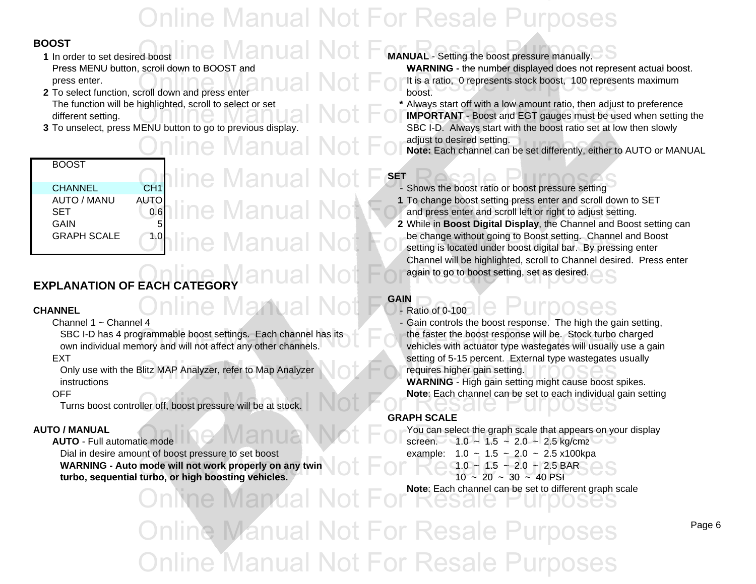#### **BOOST**

**1** In order to set desired boost Press MENU button, scroll down to BOOST and he Manual Not

- **2** To select function, scroll down and press enter **boost**. **boost.** boost.
- 3 To unselect, press MENU button to go to previous display.

#### BOOST

CHANNEL CH1AUTO / MANU SET 0.6 **GAIN GRAPH SCALE** 

# CH1 INC Manual Not F<sup>SET</sup> Shows the boost ratio or boost pressure setting

## AUTO<br>Lo.6 line Manual Not ne Manual No

#### **CHANNEL**

Channel 1 ~ Channel 4

SBC I-D has 4 programmable boost settings. Each channel has its own individual memory and will not affect any other channels. vehicles with actuator type wastegates will usually use a gain

Only use with the Blitz MAP Analyzer, refer to Map Analyzer requires higher gain setting. instructionswith the Blitz MAP Analyzer, refer to Map Analyzer<br>
Samily of Corresponding on the posterior District Corresponding to the Purpose of Purpose of School School School S<br>
WARNING - High gain setting might cause boost spikes.

#### OFF

Turns boost controller off boost controller off,boostpressure ressure will be at stock. will be at Online Manual Not For Resale Purposes

#### **AUTO / MANUAL**

#### **AUTO** - Full automatic mode

Dial in desire amount of boost pressure to set boost example:  $1.0 \sim 1.5 \sim 2.0 \sim 2.5 \times 100$  kpa **WARNING - Auto mode will not work properly on any twin**  $\begin{bmatrix} 1.0 & 1.0 & 1.5 & -1.0 & -1.5 \ 0 & 1.0 & -1.5 & -1.0 & -1.5 \end{bmatrix} \approx 20 - 2.5$  BAR  $\begin{bmatrix} 1.0 & 1.5 & -1.0 & -1.5 \ 0 & 1.0 & -1.5 & -1.5 \end{bmatrix} \approx 40$  PSI turbo, sequential turbo, or high boosting vehicles.  $10 \approx 20 \approx 30 \approx 40$  PSI

### **MANUAL** - Setting the boost pressure manually.

s MENU button, scroll down to BOOST and **WERNING** - the number displayed does not represent actual boost. press enter.<br>To select function, scroll down and press enter<br>To select function, scroll down and press enter

The function will be highlighted, scroll to select or set **\*** Always start off with a low amount ratio, then adjust to preference The function will be highlighted, scroll to select of set<br>different setting.<br>To unselect press MENIL button to go to previous display **3** To unselect, press MENU button to go to previous display. SBC I-D. Always start with the boost ratio set at low then slowly adjust to desired setting.

**Online Manual Not For Adjust to desired setting.**<br>And the set differently, either to AUTO or MANUAL

#### **SET**

- 
- **1** To change boost setting press enter and scroll down to SET and press enter and scroll left or right to adjust setting.
- **2** While in **Boost Digital Display**, the Channel and Boost setting can be change without going to Boost setting. Channel and Boost setting is located under boost digital bar. By pressing enter Channel will be highlighted, scroll to Channel desired. Press enter again to go to boost setting, set as desired. **EXPLANATION OF EACH CATEGORY ONLINE MANUAL MOTOR Research ASSESS**

#### **GAIN**

L Conline Manual Not For Ratio of 0-100 le Purposes - Gain controls the boost response. The high the gain setting, EXT setting of 5-15 percent. External type wastegates usually the faster the boost response will be. Stock turbo charged

**Note**: Each channel can be set to each individual gain setting

#### **GRAPH SCALE**

L<br>automatic mode  $\blacksquare$  Manual Not For You can select the graph scale that appears on your display<br>screen. 4.0 ~ 1.5 ~ 2.0 ~ 2.5 kg/cm2 screen. 1.0 ~ 1.5 ~ 2.0 ~ 2.5 kg/cm2 **Note**: Each channel can be set to different graph scale

Online Manual Not For Resale Purposes Online Manual Not For Resale Purposes **Online Manual Not For Resale Purposes**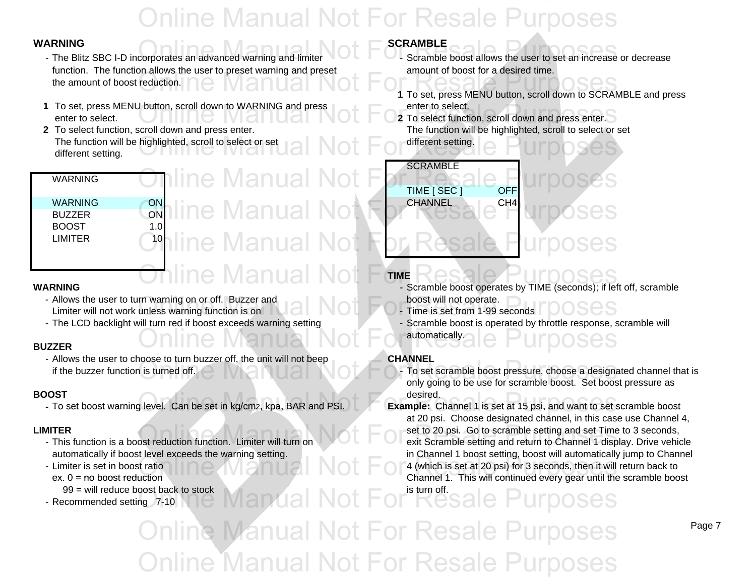- ARNING<br>- The Blitz SBC I-D incorporates an advanced warning and limiter **COLL FOR SCRAMBLE**<br>- Scramble boost allows the user to set an increase or decrease function. The function allows the user to preset warning and preset the amount of boost reduction. reduction.<br> **1** To set, press MENU button, scroll down to SCRAMBLE and press
- **1** To set, press MENU button, scroll down to WARNING and press enter to select. enter to select.**2** To select.<br> **2** To select function, scroll down and press enter.
- **2** To select function, scroll down and press enter. The function will be highlighted, scroll to select or set g The function will be highlighted, scroll to select or set  $\text{val}$  Not For different setting.  $\text{error}$  UIT  $\text{OSSES}$ different setting.

| ,,,,,,,,,,,, |     |
|--------------|-----|
| WARNING      | ON  |
| BUZZER       | ON  |
| <b>BOOST</b> | 1.0 |
| LIMITER      | 10  |
|              |     |
|              |     |

WARNING

## NC<br>DN line Manual Not **Iine Manual Not** e Manual

#### **WARNING**

- Allows the user to turn warning on or off. Buzzer and **boost will not operate.** boost will not operate. Allows the user to turn warning on or off. Buzzer and<br>Limiter will not work unless warning function is on **Annual Notice Purposes and Time is set from 1-99 seconds** TOOSES
- The LCD backlight will turn red if boost exceeds warning setting Scramble boost is operated by throttle response, scramble will

#### **BUZZER**

- Allows the user to choose to turn buzzer off, the unit will not beep **CHANNEL** if the buzzer function is turned off.

#### **BOOST**

**-** To set boost warning level. Can be set in kg/cm2, kpa, BAR and PSI.

#### **LIMITER**

- This function is a boost reduction function. Limiter will turn on
- Limiter is set in boost ratio
- ex. 0 = no boost reduction
- 99 = will reduce boost back to stock
- Recommended setting 7-10

### WARNING **SCRAMBLE**

- d preset **depict** amount of boost for a desired time.
	-
	-

## **SCRAMBLE** TIME [ SEC ] OFF <sup>G</sup> C<sub>on</sub>line Manual Not For Resale <sup>CH4</sup> urposes

### **TIME**

- Scramble boost operates by TIME (seconds); if left off, scramble
	-
	- automatically. - Scramble boost is operated by throttle response, scramble will Online Manual Not For automatically ale Purposes

For Scheme and Scheme and Scheme and Scheme and Scheme and Scheme and Scheme and Scheme and Scheme and Scheme and Scheme and Scheme and Scheme and Scheme and Scheme and Scheme and Scheme and Scheme and Scheme and Scheme an only going to be use for scramble boost. Set boost pressure as T desired.

desired.<br> **Example:** Channel 1 is set at 15 psi, and want to set scramble boost **Example:** Channel 1 is set at 15 psi, and want to set scramble boost at 20 psi. Choose designated channel, in this case use Channel 4, R<br>Set to 20 psi. Go to scramble setting and set Time to 3 seconds,<br>exit Scramble setting and return to Channel 1 display. Drive vehicles with the Vehicle Purposes of Research Purposes and return to Channel 1 display. Drive exit Scramble setting and return to Channel 1 display. Drive vehicle automatically if boost level exceeds the warning setting. in Channel 1 boost setting, boost will automatically jump to Channel tratio<br>
a determine of the Channel 1. This will continued every dear until the scramble book<br>
Online Manual Not For Research Channel 1. This will continued every dear until the scramble book duction Channel 1. This will continued every gear until the scramble boost 1. This will continued every gear until the scramble boost is turn off.

ost pack to stock<br>ng 7-10 Nie Manual Not For Resale Purposes Online Manual Not For Resale Purposes **Online Manual Not For Resale Pura**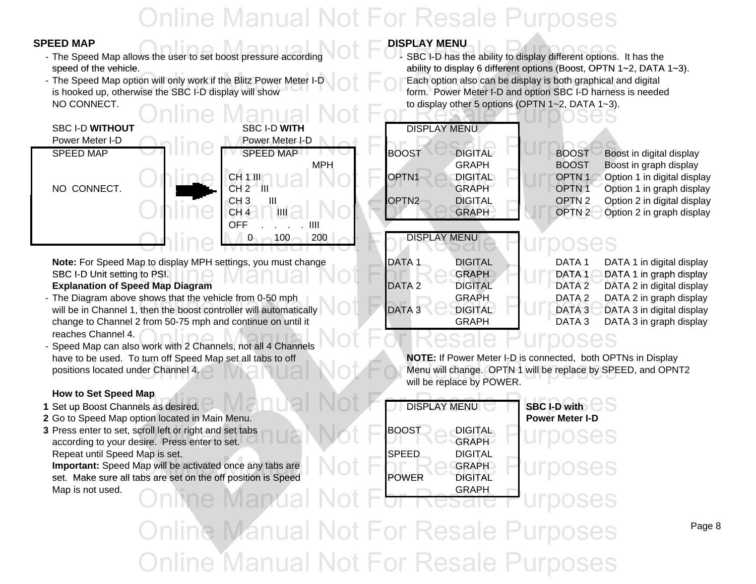Online Manual Not For Resale Purposes

- **EED MAP**<br>- The Speed Map allows the user to set boost pressure according **COLL FORE SBC I-D** has the ability to display different options. It has the
- The Speed Map option will only work if the Blitz Power Meter I-D  $\blacksquare$   $\blacksquare$  Each option also can be display is both graphical and digital is hooked up, otherwise the SBC I-D display will show form. Power Meter I-D and option SBC I-D harness is needed NO CONNECT.



Note: For Speed Map to display MPH settings, you must change DATA 1 DIGITAL DIGITAL DATA 1 DATA 1 in digital display SBC I D Unit setting to PSI I-D Unit setting to PSI. GRAPH DATA 1 DATA 1 in graph display in

#### **Explanation of Speed Map Diagram**  DATA 2 DIGITAL DATA 2 DATA 2 DATA 2 in digital display

- The Diagram above shows that the vehicle from 0-50 mph GRAPH GRAPH DATA 2 DATA 2 in graph display The Diagram above shows that the vehicle from 0-50 mph<br>Will be in Channel 1, then the boost controller will automatically DATA 3 DIGITAL DATA 3 DATA 3 in digital display<br>CRAPH DATA 3 DATA 3 DATA 3 in digital display change to Channel 2 from 50-75 mph and continue on until it GRAPH GRAPH DATA 3 reaches Channel 4.
- 

#### **How to Set Speed Map**

- 
- 
- **3** Press enter to set, scroll left or right and set tabs **BOOST** BOOST DIGITAL according to your desire. Press enter to set. Repeat until Speed Map is set.

### **SPEED MAP A Report of March 1996 March 2016 PDISPLAY MENU**

SBC I-D has the ability to display different options. It has the speed of the vehicle. ability to display 6 different options (Boost, OPTN 1~2, DATA 1~3). to display other 5 options (OPTN 1~2, DATA 1~3). speed of the vehicle.<br>The Speed Map option will only work if the Blitz Power Meter I-D<br>
Each option also can be display is both graphical and digital<br>
Each option also can be display is both graphical and digital

| THOUT | SBC I-D WITH                                      | <b>DISPLAY MENU</b>                                         |                |                   |                             |
|-------|---------------------------------------------------|-------------------------------------------------------------|----------------|-------------------|-----------------------------|
| r I-D | Power Meter I-D                                   |                                                             |                |                   |                             |
| D     | <b>SPEED MAP</b>                                  | <b>BOOST</b>                                                | <b>DIGITAL</b> | <b>BOOST</b>      | Boost in digital display    |
|       | <b>MPH</b>                                        |                                                             | <b>GRAPH</b>   | <b>BOOST</b>      | Boost in graph display      |
|       | <b>CH 1 III</b>                                   | OPTN <sub>1</sub>                                           | <b>DIGITAL</b> | OPTN <sub>1</sub> | Option 1 in digital display |
| ECT.  | CH 2<br>" III                                     |                                                             | <b>GRAPH</b>   | OPTN <sub>1</sub> | Option 1 in graph display   |
|       | $\mathbf{III}$<br>CH <sub>3</sub>                 | OPTN <sub>2</sub>                                           | <b>DIGITAL</b> | OPTN <sub>2</sub> | Option 2 in digital display |
|       | Ш<br>CH <sub>4</sub>                              |                                                             | <b>GRAPH</b>   | OPTN <sub>2</sub> | Option 2 in graph display   |
|       | OFF<br>Ш                                          |                                                             |                |                   |                             |
|       | 200<br>100.                                       | <b>DISPLAY MENU</b>                                         |                |                   |                             |
|       |                                                   |                                                             |                |                   |                             |
|       | peed Man to display MPH settings, you must change | $\blacksquare$ $\blacksquare$ $\blacksquare$ $\blacksquare$ | <b>DIGITAL</b> | <b>DATA 1</b>     | NATA 1 in digital display   |

| p to display MPH settings, you must change   | IDATA 1           | DIGITAL        | DATA 1 | DAT. |
|----------------------------------------------|-------------------|----------------|--------|------|
| to PSI.                                      |                   | <b>GRAPH</b>   | DATA-1 | DAT. |
| ed Map Diagram                               | DATA <sub>2</sub> | <b>DIGITAL</b> | DATA 2 | DAT. |
| shows that the vehicle from 0-50 mph         |                   | <b>GRAPH</b>   | DATA 2 | DAT. |
| then the boost controller will automatically | DATA <sub>3</sub> | <b>DIGITAL</b> | DATA 3 | DAT. |
| from 50-75 mph and continue on until it      |                   | <b>GRAPH</b>   | DATA 3 | DAT. |
|                                              |                   |                |        |      |

| DATA 1            | DATA 1 in digital displa |
|-------------------|--------------------------|
| DATA <sub>1</sub> | DATA 1 in graph displa   |
| DATA <sub>2</sub> | DATA 2 in digital displa |
| DATA 2            | DATA 2 in graph displa   |
| <b>DATA3</b>      | DATA 3 in digital displ: |

### DATA 3 in graph display

### reaches Channel 4.  $\sim$  Speed Map can also work with 2 Channels, not all 4 Channels  $\,{\rm Vol}$   $\rm For$   $\rm Resale$   $\rm P}$  urposes

have to be used. To turn off Speed Map set all tabs to off **NOTE:** If Power Meter I-D is connected, both OPTNs in Display positions located under Channel 4. Menu will change. OPTN 1 will be replace by SPEED, and OPNT2 will be replace by SPEED, and OPNT2 will be replace by POWER.

| How to bet opeed map                                         |                                |                        |
|--------------------------------------------------------------|--------------------------------|------------------------|
| 1 Set up Boost Channels as desired.                          | <b>DISPLAY MENU</b>            | <b>SBC I-D with</b>    |
| 2 Go to Speed Map option located in Main Menu.               |                                | <b>Power Meter I-D</b> |
| 3 Press enter to set, scroll left or right and set tabs      | <b>BOOST</b><br><b>DIGITAL</b> | <b>Urboses</b>         |
| according to your desire. Press enter to set.                | <b>GRAPH</b>                   |                        |
| Repeat until Speed Map is set.                               | <b>SPEED</b><br><b>DIGITAL</b> |                        |
| Important: Speed Map will be activated once any tabs are     | <b>GRAPH</b>                   | <b>UMOOSES</b>         |
| set. Make sure all tabs are set on the off position is Speed | <b>POWER</b><br><b>DIGITAL</b> |                        |
| Map is not used.                                             | <b>GRAPH</b>                   |                        |
| Online Mandal Not                                            |                                |                        |
|                                                              |                                |                        |
| Online Manual Not For Resale Purposes                        |                                |                        |
|                                                              |                                |                        |

Page 8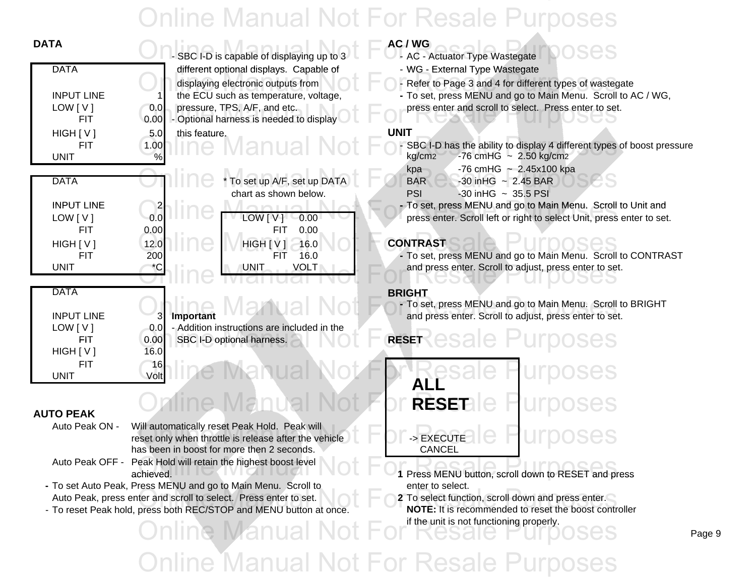|                                                                                                                                                                       | AC / WG<br><b>AC - Actuator Type Wastegate</b>                                                                                                                                                                                                    |
|-----------------------------------------------------------------------------------------------------------------------------------------------------------------------|---------------------------------------------------------------------------------------------------------------------------------------------------------------------------------------------------------------------------------------------------|
|                                                                                                                                                                       | - WG - External Type Wastegate                                                                                                                                                                                                                    |
| displaying electronic outputs from<br>the ECU such as temperature, voltage,<br>pressure, TPS, A/F, and etc.<br>0.0<br>- Optional harness is needed to display<br>0.00 | - Refer to Page 3 and 4 for different types of wastegate<br>- To set, press MENU and go to Main Menu. Scroll to AC / WG,<br>press enter and scroll to select. Press enter to set.                                                                 |
| this feature.<br>5.0                                                                                                                                                  | UNIT                                                                                                                                                                                                                                              |
| 1.00<br>$\frac{9}{6}$                                                                                                                                                 | - SBC I-D has the ability to display 4 different types of boost pressu<br>$-76$ cmHG $\sim 2.50$ kg/cm2<br>kg/cm2                                                                                                                                 |
| To set up A/F, set up DATA                                                                                                                                            | -76 cmHG $\sim 2.45x100$ kpa<br>kpa<br><b>BAR</b><br>$-30$ in HG $\sim 2.45$ BAR<br>$-30$ in HG $\sim$ 35.5 PSI<br><b>PSI</b>                                                                                                                     |
|                                                                                                                                                                       | - To set, press MENU and go to Main Menu. Scroll to Unit and                                                                                                                                                                                      |
| 0.0<br>LOW [V]<br>0.00                                                                                                                                                | press enter. Scroll left or right to select Unit, press enter to set.                                                                                                                                                                             |
| 0.00<br>0.00<br><b>FIT</b>                                                                                                                                            |                                                                                                                                                                                                                                                   |
| 12.0<br>HIGH[V]<br>16.0                                                                                                                                               | <b>CONTRAST</b>                                                                                                                                                                                                                                   |
| 200<br>16.0<br><b>FIT</b>                                                                                                                                             | - To set, press MENU and go to Main Menu. Scroll to CONTRAST                                                                                                                                                                                      |
| <b>UNIT</b>                                                                                                                                                           | and press enter. Scroll to adjust, press enter to set.                                                                                                                                                                                            |
|                                                                                                                                                                       | <b>BRIGHT</b>                                                                                                                                                                                                                                     |
|                                                                                                                                                                       | - To set, press MENU and go to Main Menu. Scroll to BRIGHT                                                                                                                                                                                        |
|                                                                                                                                                                       | and press enter. Scroll to adjust, press enter to set.                                                                                                                                                                                            |
|                                                                                                                                                                       | <b>RESET</b>                                                                                                                                                                                                                                      |
| 16.0                                                                                                                                                                  |                                                                                                                                                                                                                                                   |
| 16                                                                                                                                                                    |                                                                                                                                                                                                                                                   |
| Volt                                                                                                                                                                  |                                                                                                                                                                                                                                                   |
|                                                                                                                                                                       | SBC I-D is capable of displaying up to 3<br>different optional displays. Capable of<br>/lanu<br>chart as shown below.<br><b>VOLT</b><br>Important<br>3<br>- Addition instructions are included in the<br>0.0<br>0.00<br>SBC I-D optional harness. |

### **AUTO PEAK**

- Auto Peak ON Will automatically reset Peak Hold. Peak will has been in boost for more then 2 seconds. The cancel of the CANCEL
- Auto Peak OFF Peak Hold will retain the highest boost level achieved. **1**achieved. Presseak Hold will retain the highest boost level<br> **Online Manual Act Press MENU button, scroll down to RESET and press**<br> **Online Press MENU button, scroll down to RESET and press**
- **-** To set Auto Peak, Press MENU and go to Main Menu. Scroll to enter to select. Auto Peak, press enter and scroll to select. Press enter to set.
- To reset Peak hold, press both REC/STOP and MENU button at once. **NOTE:** It is recommended to reset the boost controller

**Inne Manual** 

- 
- WG External Type Wastegate
- 
- 

- 1.00<br>
Wanual Not For SBC I-D has the ability to display 4 different types of boost pressure<br>  $\frac{100}{96}$  $kg/cm2$  -76 cmHG  $\sim 2.50$  kg/cm2
	- $kpa$  -76 cmHG ~ 2.45x100 kpa
	- $\overline{\text{BAR}}$ ,  $-30$  in HG  $\sim 2.45$  BAR
	- $PSI$   $-30$  in HG  $\sim$  35.5 PSI
	- press enter. Scroll left or right to select Unit, press enter to set.

### $CONTRAST$

### **BRIGHT**

- **RESET** Will automatically reset Peak Hold. Peak will<br>reset only when throttle is release after the vehicle  $\blacksquare$   $\blacksquare$   $\blacksquare$   $\blacksquare$   $\blacksquare$   $\blacksquare$   $\blacksquare$   $\blacksquare$   $\blacksquare$   $\blacksquare$   $\blacksquare$   $\blacksquare$   $\blacksquare$   $\blacksquare$   $\blacksquare$   $\blacksquare$   $\blacksquare$   $\$ Online Manual Not For RESETale Purposes
	-
	- if the unit is not functioning properly. enter to select.<br> **2** To select function, scroll down and press enter.<br> **NOTE:** It is recommended to reset the boost controller

**Online Manual Not For Resale**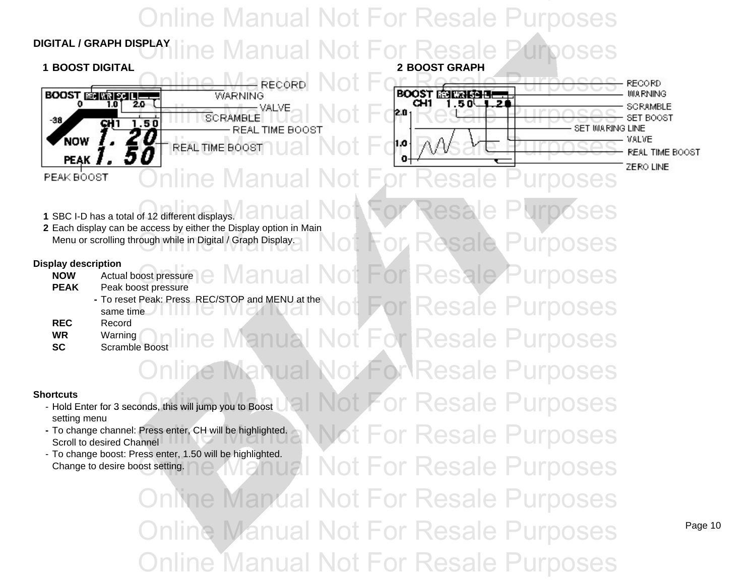### **DIGITAL / GRAPH DISPLAY**Online Manual Not For Resale Purposes Manual Not For Resal







Resale Purposes

**Resale Purposes** 

**T** Resale Purposes

**For Resale Purposes** 

**2** Each display can be access by either the Display option in Main

Menu or scrolling through while in Digital / Graph Display. Not For Resale Purposes

#### **Display description**

**NOW**Actual boost pressure

- **PEAK** Peak boost pressure
	- **-** To reset Peak: Press REC/STOP and MENU at thesame time
- **REC**Record
- **WR**Warning
- **SC**Scramble Boost

#### **Shortcuts**

- Hold Enter for 3 seconds, this will jump you to Boost setting menu
- **-** To change channel: Press enter, CH will be highlighted. Scroll to desired Channel
- To change boost: Press enter, 1.50 will be highlighted. Change to desire boost setting.

**St For Resale Purposes** Not For Resale Purposes **Online Manual Not For Resale Purposes** Online Manual Not For Resale Purposes Online Manual Not For Resale Purposes

Online Manual Not For Resale Purposes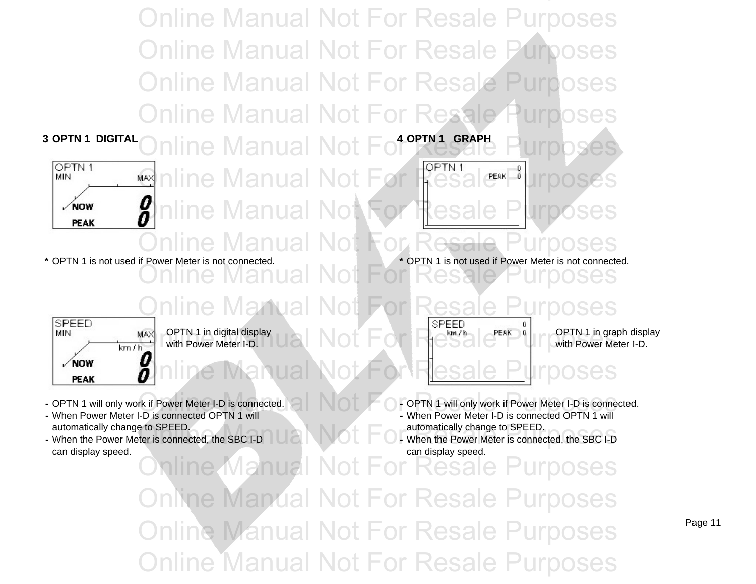Online Manual Not For Resale Purposes Online Manual Not For Resale Purposes Online Manual Not For Resale Purposes **Online Manual Not For Resale** 



MARINING Manual Not For Resale MARINING nline Manual No**t For R**esa nline Manual Not



**\*** OPTN 1 is not used if Power Meter is not connected. **\*** OPTN 1 is not used if Power Meter is not connected.

OPTN 1 is not used if Power Meter is not connected. Online Manual Not For Resale Purposes



SPEED MIN  $\sqrt{N}$ **PEAK** 

OPTN 1 in digital display  $\blacksquare$   $\blacksquare$   $\blacksquare$   $\blacksquare$   $\blacksquare$   $\blacksquare$   $\blacksquare$   $\blacksquare$   $\blacksquare$   $\blacksquare$   $\blacksquare$   $\blacksquare$   $\blacksquare$   $\blacksquare$   $\blacksquare$   $\blacksquare$   $\blacksquare$   $\blacksquare$   $\blacksquare$   $\blacksquare$   $\blacksquare$   $\blacksquare$   $\blacksquare$   $\blacksquare$   $\blacksquare$   $\blacksquare$   $\blacksquare$   $\blacksquare$ with Power Meter I-D. MAX OPTN 1 in digital display<br>
with Power Meter I-D.



- When Power Meter I-D is connected OPTN 1 will automatically change to SPEED. automatically change to SPEED.
- can display speed. Can display speed.
- **Online Manual Not For Resale Purposes**

with Power Meter I-D.

- OPTN 1 will only work if Power Meter I-D is connected.
- When Power Meter I-D is connected OPTN 1 will
- **-** When the Power Meter is connected, the SBC I-D **-** When the Power Meter is connected, the SBC I-D - When the Power Meter is connected, the SBC I-D

nline Manual Not For Resale Purposes **Online Manual Not For Resale Purposes** Online Manual Not For Resale Purposes Online Manual Not For Resale Purposes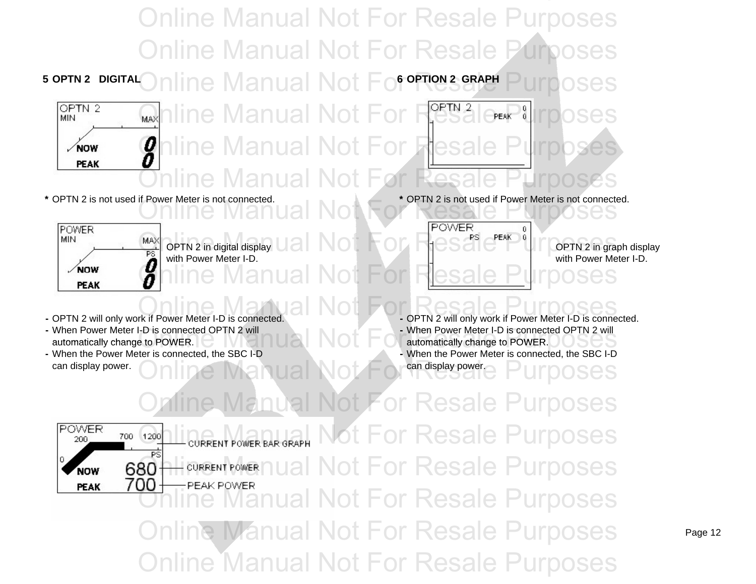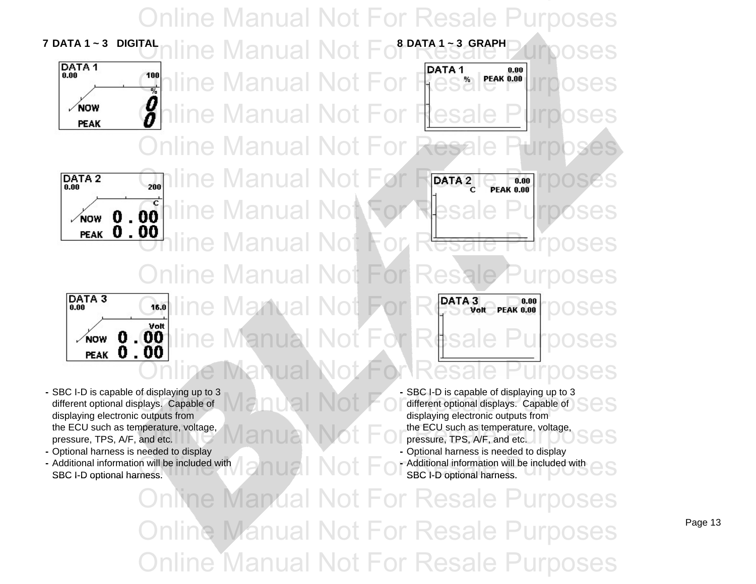